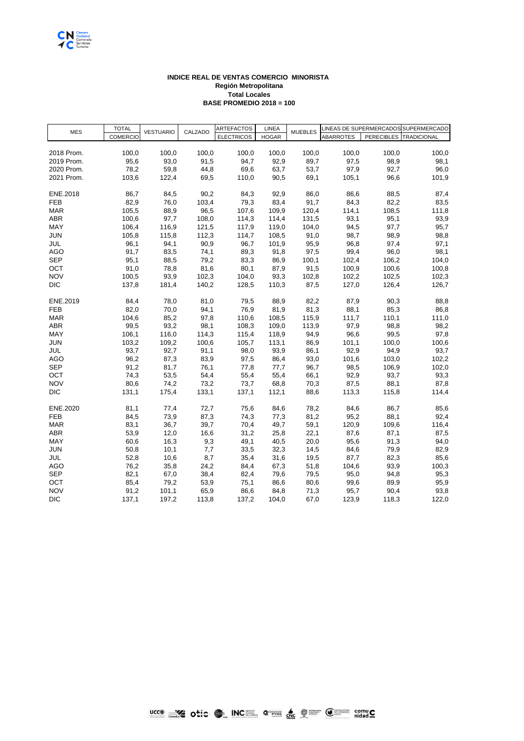

## **INDICE REAL DE VENTAS COMERCIO MINORISTA Región Metropolitana Total Locales BASE PROMEDIO 2018 = 100**

| <b>MES</b> | <b>TOTAL</b><br><b>COMERCIO</b> | <b>VESTUARIO</b> | CALZADO | <b>ARTEFACTOS</b> | LINEA        | <b>MUEBLES</b> | LINEAS DE SUPERMERCADOS SUPERMERCADO |       |                        |
|------------|---------------------------------|------------------|---------|-------------------|--------------|----------------|--------------------------------------|-------|------------------------|
|            |                                 |                  |         | <b>ELECTRICOS</b> | <b>HOGAR</b> |                | <b>ABARROTES</b>                     |       | PERECIBLES TRADICIONAL |
|            |                                 |                  |         |                   |              |                |                                      |       |                        |
| 2018 Prom. | 100,0                           | 100,0            | 100,0   | 100,0             | 100,0        | 100,0          | 100,0                                | 100,0 | 100,0                  |
| 2019 Prom. | 95,6                            | 93,0             | 91,5    | 94,7              | 92,9         | 89,7           | 97,5                                 | 98,9  | 98,1                   |
| 2020 Prom. | 78,2                            | 59,8             | 44,8    | 69,6              | 63,7         | 53,7           | 97,9                                 | 92,7  | 96,0                   |
| 2021 Prom. | 103,6                           | 122,4            | 69,5    | 110,0             | 90,5         | 69,1           | 105,1                                | 96,6  | 101,9                  |
|            |                                 |                  |         |                   |              |                |                                      |       |                        |
| ENE.2018   | 86,7                            | 84,5             | 90,2    | 84,3              | 92,9         | 86,0           | 86,6                                 | 88,5  | 87,4                   |
| <b>FEB</b> | 82,9                            | 76,0             | 103,4   | 79,3              | 83,4         | 91,7           | 84,3                                 | 82,2  | 83,5                   |
| <b>MAR</b> | 105,5                           | 88,9             | 96,5    | 107,6             | 109,9        | 120,4          | 114,1                                | 108,5 | 111,8                  |
| <b>ABR</b> | 100,6                           | 97,7             | 108,0   | 114,3             | 114,4        | 131,5          | 93,1                                 | 95,1  | 93,9                   |
| MAY        | 106,4                           | 116,9            | 121,5   | 117,9             | 119,0        | 104,0          | 94,5                                 | 97,7  | 95,7                   |
| JUN        | 105,8                           | 115,8            | 112,3   | 114,7             | 108,5        | 91,0           | 98,7                                 | 98,9  | 98,8                   |
| JUL        | 96,1                            | 94,1             | 90,9    | 96,7              | 101,9        | 95,9           | 96,8                                 | 97,4  | 97,1                   |
| <b>AGO</b> | 91,7                            | 83,5             | 74,1    | 89,3              | 91,8         | 97,5           | 99,4                                 | 96,0  | 98,1                   |
| <b>SEP</b> | 95,1                            | 88,5             | 79,2    | 83,3              | 86,9         | 100,1          | 102,4                                | 106,2 | 104,0                  |
| OCT        | 91,0                            | 78,8             | 81,6    | 80,1              | 87,9         | 91,5           | 100,9                                | 100,6 | 100,8                  |
| <b>NOV</b> | 100,5                           | 93,9             | 102,3   | 104,0             | 93,3         | 102,8          | 102,2                                | 102,5 | 102,3                  |
| DIC        | 137,8                           | 181,4            | 140,2   | 128,5             | 110,3        | 87,5           | 127,0                                | 126,4 | 126,7                  |
|            |                                 |                  |         |                   |              |                |                                      |       |                        |
| ENE.2019   | 84,4                            | 78,0             | 81,0    | 79,5              | 88,9         | 82,2           | 87,9                                 | 90,3  | 88,8                   |
| <b>FEB</b> | 82,0                            | 70,0             | 94,1    | 76,9              | 81,9         | 81,3           | 88,1                                 | 85,3  | 86,8                   |
| <b>MAR</b> | 104,6                           | 85,2             | 97,8    | 110,6             | 108,5        | 115,9          | 111,7                                | 110,1 | 111,0                  |
| <b>ABR</b> | 99,5                            | 93,2             | 98,1    | 108,3             | 109,0        | 113,9          | 97,9                                 | 98,8  | 98,2                   |
| MAY        | 106,1                           | 116,0            | 114,3   | 115,4             | 118,9        | 94,9           | 96,6                                 | 99,5  | 97,8                   |
| <b>JUN</b> | 103,2                           | 109,2            | 100,6   | 105,7             | 113,1        | 86,9           | 101,1                                | 100,0 | 100,6                  |
| JUL        | 93,7                            | 92,7             | 91,1    | 98,0              | 93,9         | 86,1           | 92,9                                 | 94,9  | 93,7                   |
| <b>AGO</b> | 96,2                            | 87,3             | 83,9    | 97,5              | 86,4         | 93,0           | 101,6                                | 103,0 | 102,2                  |
| <b>SEP</b> | 91,2                            | 81,7             | 76,1    | 77,8              | 77,7         | 96,7           | 98,5                                 | 106,9 | 102,0                  |
| OCT        | 74,3                            | 53,5             | 54,4    | 55,4              | 55,4         | 66,1           | 92,9                                 | 93,7  | 93,3                   |
| <b>NOV</b> | 80,6                            | 74,2             | 73,2    | 73,7              | 68,8         | 70,3           | 87,5                                 | 88,1  | 87,8                   |
| <b>DIC</b> | 131,1                           | 175,4            | 133,1   | 137,1             | 112,1        | 88,6           | 113,3                                | 115,8 | 114,4                  |
|            |                                 |                  |         |                   |              |                |                                      |       |                        |
| ENE.2020   | 81,1                            | 77,4             | 72,7    | 75,6              | 84,6         | 78,2           | 84,6                                 | 86,7  | 85,6                   |
| <b>FEB</b> | 84,5                            | 73,9             | 87,3    | 74,3              | 77,3         | 81,2           | 95,2                                 | 88,1  | 92,4                   |
| <b>MAR</b> | 83,1                            | 36,7             | 39,7    | 70,4              | 49,7         | 59,1           | 120,9                                | 109,6 | 116,4                  |
| <b>ABR</b> | 53,9                            | 12,0             | 16,6    | 31,2              | 25,8         | 22,1           | 87,6                                 | 87,1  | 87,5                   |
| MAY        | 60,6                            | 16,3             | 9,3     | 49,1              | 40,5         | 20,0           | 95,6                                 | 91,3  | 94,0                   |
| <b>JUN</b> | 50,8                            | 10,1             | 7,7     | 33,5              | 32,3         | 14,5           | 84,6                                 | 79,9  | 82,9                   |
| JUL        | 52,8                            | 10,6             | 8,7     | 35,4              | 31,6         | 19,5           | 87,7                                 | 82,3  | 85,6                   |
| <b>AGO</b> | 76,2                            | 35,8             | 24,2    | 84,4              | 67,3         | 51,8           | 104,6                                | 93,9  | 100,3                  |
| <b>SEP</b> | 82,1                            | 67,0             | 38,4    | 82,4              | 79,6         | 79,5           | 95,0                                 | 94,8  | 95,3                   |
| OCT        | 85,4                            | 79,2             | 53,9    | 75,1              | 86,6         | 80,6           | 99,6                                 | 89,9  | 95,9                   |
| <b>NOV</b> | 91,2                            | 101,1            | 65,9    | 86,6              | 84,8         | 71,3           | 95,7                                 | 90,4  | 93,8                   |
| <b>DIC</b> | 137,1                           | 197,2            | 113,8   | 137,2             | 104,0        | 67,0           | 123,9                                | 118,3 | 122,0                  |
|            |                                 |                  |         |                   |              |                |                                      |       |                        |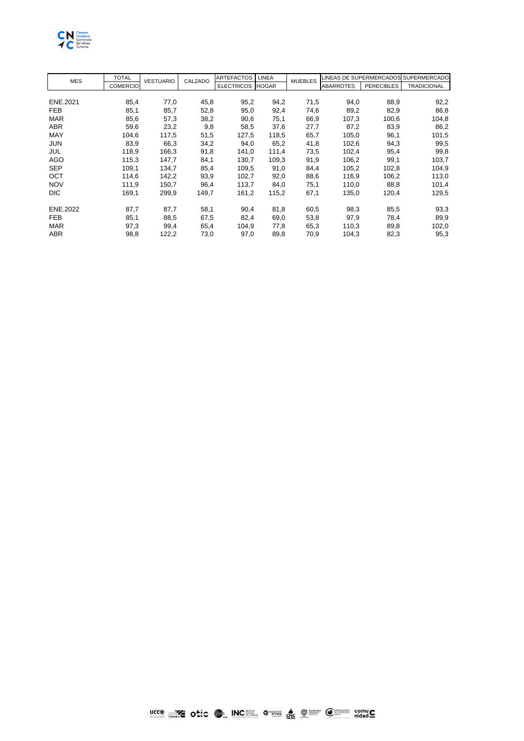

| <b>MES</b> | <b>TOTAL</b>    | <b>VESTUARIO</b> | CALZADO | <b>ARTEFACTOS</b> | <b>LINEA</b> | <b>MUEBLES</b> | LINEAS DE SUPERMERCADOS SUPERMERCADO |                   |                    |
|------------|-----------------|------------------|---------|-------------------|--------------|----------------|--------------------------------------|-------------------|--------------------|
|            | <b>COMERCIO</b> |                  |         | <b>ELECTRICOS</b> | <b>HOGAR</b> |                | <b>ABARROTES</b>                     | <b>PERECIBLES</b> | <b>TRADICIONAL</b> |
|            |                 |                  |         |                   |              |                |                                      |                   |                    |
| ENE.2021   | 85,4            | 77,0             | 45,8    | 95,2              | 94,2         | 71,5           | 94,0                                 | 88,9              | 92,2               |
| <b>FEB</b> | 85,1            | 85,7             | 52,8    | 95,0              | 92,4         | 74,6           | 89,2                                 | 82,9              | 86,8               |
| <b>MAR</b> | 85,6            | 57,3             | 38,2    | 90,6              | 75,1         | 66,9           | 107,3                                | 100,6             | 104,8              |
| <b>ABR</b> | 59,6            | 23,2             | 9,8     | 58,5              | 37,6         | 27,7           | 87,2                                 | 83,9              | 86,2               |
| MAY        | 104,6           | 117,5            | 51,5    | 127,5             | 118,5        | 65,7           | 105,0                                | 96,1              | 101,5              |
| <b>JUN</b> | 83,9            | 66,3             | 34,2    | 94,0              | 65,2         | 41,8           | 102,6                                | 94,3              | 99,5               |
| JUL        | 118,9           | 166,3            | 91,8    | 141,0             | 111,4        | 73,5           | 102,4                                | 95,4              | 99,8               |
| <b>AGO</b> | 115,3           | 147,7            | 84,1    | 130,7             | 109,3        | 91,9           | 106,2                                | 99,1              | 103,7              |
| <b>SEP</b> | 109,1           | 134,7            | 85,4    | 109,5             | 91,0         | 84,4           | 105,2                                | 102,8             | 104,9              |
| OCT        | 114,6           | 142,2            | 93,9    | 102,7             | 92,0         | 88,6           | 116,9                                | 106,2             | 113,0              |
| <b>NOV</b> | 111,9           | 150,7            | 96,4    | 113,7             | 84,0         | 75,1           | 110,0                                | 88,8              | 101,4              |
| <b>DIC</b> | 169,1           | 299,9            | 149,7   | 161,2             | 115,2        | 67,1           | 135,0                                | 120,4             | 129,5              |
| ENE.2022   | 87,7            | 87,7             | 58,1    | 90,4              | 81,8         | 60,5           | 98,3                                 | 85,5              | 93,3               |
| <b>FEB</b> | 85,1            | 88,5             | 67,5    | 82,4              | 69,0         | 53,8           | 97,9                                 | 78,4              | 89,9               |
| <b>MAR</b> | 97,3            | 99,4             | 65,4    | 104,9             | 77,8         | 65,3           | 110,3                                | 89,8              | 102,0              |
| ABR        | 98,8            | 122,2            | 73,0    | 97,0              | 89,8         | 70,9           | 104,3                                | 82,3              | 95,3               |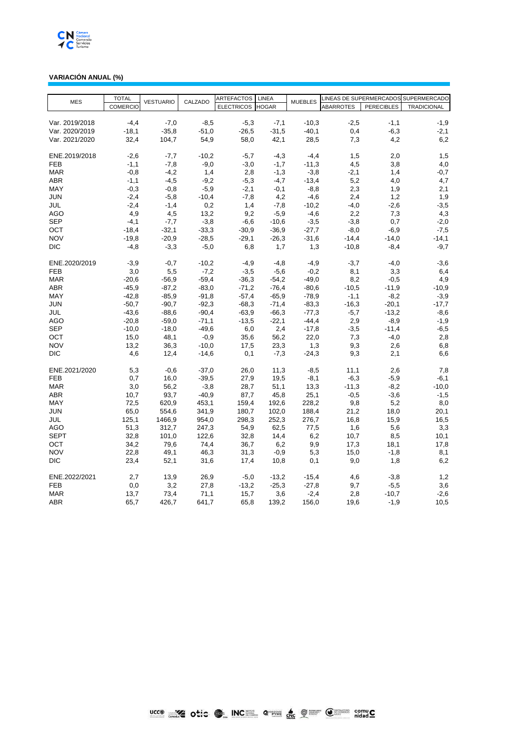

## **VARIACIÓN ANUAL (%)**

| <b>MES</b>     | <b>TOTAL</b>    | <b>VESTUARIO</b> | CALZADO | <b>ARTEFACTOS</b> | LINEA        | <b>MUEBLES</b> |                  |                   | LINEAS DE SUPERMERCADOS SUPERMERCADO |
|----------------|-----------------|------------------|---------|-------------------|--------------|----------------|------------------|-------------------|--------------------------------------|
|                | <b>COMERCIO</b> |                  |         | <b>ELECTRICOS</b> | <b>HOGAR</b> |                | <b>ABARROTES</b> | <b>PERECIBLES</b> | <b>TRADICIONAL</b>                   |
|                |                 |                  |         |                   |              |                |                  |                   |                                      |
| Var. 2019/2018 | $-4.4$          | $-7,0$           | $-8,5$  | $-5,3$            | $-7,1$       | $-10,3$        | $-2,5$           | $-1,1$            | $-1,9$                               |
| Var. 2020/2019 | $-18.1$         | $-35,8$          | $-51,0$ | $-26,5$           | $-31,5$      | $-40,1$        | 0,4              | $-6,3$            | $-2,1$                               |
| Var. 2021/2020 | 32,4            | 104,7            | 54,9    | 58,0              | 42,1         | 28,5           | 7,3              | 4,2               | 6,2                                  |
|                |                 |                  |         |                   |              |                |                  |                   |                                      |
| ENE.2019/2018  | $-2,6$          | -7.7             | $-10,2$ | $-5,7$            | $-4,3$       | $-4,4$         | 1,5              | 2,0               | 1,5                                  |
| <b>FEB</b>     | $-1,1$          | $-7,8$           | $-9,0$  | $-3,0$            | $-1,7$       | $-11,3$        | 4,5              | 3,8               | 4,0                                  |
| <b>MAR</b>     | $-0.8$          | $-4,2$           | 1,4     | 2,8               | -1,3         | $-3,8$         | $-2,1$           | 1,4               | $-0,7$                               |
| <b>ABR</b>     | $-1,1$          | $-4,5$           | $-9,2$  | $-5,3$            | $-4,7$       | $-13,4$        | 5,2              | 4,0               | 4,7                                  |
| <b>MAY</b>     | $-0,3$          | $-0,8$           | $-5,9$  | $-2,1$            | $-0,1$       | $-8,8$         | 2,3              | 1,9               | 2,1                                  |
| <b>JUN</b>     | $-2,4$          | $-5,8$           | $-10,4$ | $-7,8$            | 4,2          | $-4,6$         | 2,4              | 1,2               | 1,9                                  |
| JUL            | $-2,4$          | $-1,4$           | 0,2     | 1,4               | $-7,8$       | $-10,2$        | $-4,0$           | $-2,6$            | $-3,5$                               |
| AGO            | 4,9             | 4,5              | 13,2    | 9,2               | $-5,9$       | $-4,6$         | 2,2              | 7,3               | 4,3                                  |
| <b>SEP</b>     | $-4,1$          | $-7,7$           | $-3,8$  | $-6,6$            | $-10,6$      | $-3,5$         | $-3,8$           | 0,7               | $-2,0$                               |
| ОСТ            | $-18,4$         | $-32,1$          | $-33,3$ | $-30,9$           | $-36,9$      | $-27,7$        | $-8,0$           | $-6,9$            | $-7,5$                               |
| <b>NOV</b>     | $-19.8$         | $-20,9$          | $-28,5$ | $-29,1$           | $-26,3$      | $-31,6$        | $-14,4$          | $-14,0$           | $-14,1$                              |
| <b>DIC</b>     | $-4,8$          | $-3,3$           | $-5,0$  | 6,8               | 1,7          | 1,3            | $-10,8$          | $-8,4$            | $-9,7$                               |
|                |                 |                  |         |                   |              |                |                  |                   |                                      |
| ENE.2020/2019  | $-3,9$          | $-0,7$           | $-10,2$ | $-4,9$            | $-4,8$       | $-4,9$         | $-3,7$           | $-4,0$            | $-3,6$                               |
| <b>FEB</b>     | 3,0             | 5,5              | $-7,2$  | $-3,5$            | $-5,6$       | $-0,2$         | 8,1              | 3,3               | 6,4                                  |
| <b>MAR</b>     | $-20,6$         | $-56,9$          | $-59,4$ | $-36,3$           | $-54,2$      | $-49,0$        | 8,2              | $-0,5$            | 4,9                                  |
| <b>ABR</b>     | $-45,9$         | $-87,2$          | $-83,0$ | $-71,2$           | $-76,4$      | $-80,6$        | $-10,5$          | $-11,9$           | $-10,9$                              |
| MAY            | $-42,8$         | $-85,9$          | $-91,8$ | $-57,4$           | $-65,9$      | $-78,9$        | $-1,1$           | $-8,2$            | $-3,9$                               |
| <b>JUN</b>     | $-50,7$         | $-90,7$          | $-92,3$ | $-68,3$           | $-71,4$      | $-83,3$        | $-16,3$          | $-20,1$           | $-17,7$                              |
| JUL            | $-43,6$         | $-88,6$          | $-90,4$ | $-63,9$           | $-66,3$      | $-77,3$        | $-5,7$           | $-13,2$           | $-8,6$                               |
| <b>AGO</b>     | $-20,8$         | $-59,0$          | $-71,1$ | $-13,5$           | $-22.1$      | $-44,4$        | 2,9              | $-8,9$            | $-1,9$                               |
| <b>SEP</b>     | $-10,0$         | $-18,0$          | $-49,6$ | 6,0               | 2,4          | $-17,8$        | $-3,5$           | $-11,4$           | -6,5                                 |
| OCT            | 15,0            | 48,1             | $-0.9$  | 35,6              | 56,2         | 22,0           |                  | $-4,0$            | 2,8                                  |
| <b>NOV</b>     |                 |                  |         |                   |              |                | 7,3              |                   |                                      |
|                | 13,2            | 36,3             | $-10,0$ | 17,5              | 23,3         | 1,3            | 9,3              | 2,6               | 6,8                                  |
| <b>DIC</b>     | 4,6             | 12,4             | $-14,6$ | 0,1               | $-7,3$       | $-24,3$        | 9,3              | 2,1               | 6,6                                  |
|                |                 |                  |         |                   |              |                |                  |                   |                                      |
| ENE.2021/2020  | 5,3             | $-0.6$           | $-37,0$ | 26,0              | 11,3         | $-8,5$         | 11,1             | 2,6               | 7,8                                  |
| <b>FEB</b>     | 0,7             | 16,0             | $-39,5$ | 27,9              | 19,5         | $-8,1$         | $-6,3$           | $-5,9$            | $-6,1$                               |
| <b>MAR</b>     | 3,0             | 56,2             | $-3,8$  | 28,7              | 51,1         | 13,3           | $-11,3$          | $-8,2$            | $-10,0$                              |
| ABR            | 10,7            | 93,7             | $-40,9$ | 87,7              | 45,8         | 25,1           | $-0,5$           | $-3,6$            | $-1,5$                               |
| MAY            | 72,5            | 620,9            | 453,1   | 159,4             | 192,6        | 228,2          | 9,8              | 5,2               | 8,0                                  |
| JUN            | 65,0            | 554,6            | 341,9   | 180,7             | 102,0        | 188,4          | 21,2             | 18,0              | 20,1                                 |
| JUL            | 125,1           | 1466,9           | 954,0   | 298,3             | 252,3        | 276,7          | 16,8             | 15,9              | 16,5                                 |
| AGO            | 51,3            | 312,7            | 247,3   | 54,9              | 62,5         | 77,5           | 1,6              | 5,6               | 3,3                                  |
| <b>SEPT</b>    | 32,8            | 101,0            | 122,6   | 32,8              | 14,4         | 6,2            | 10,7             | 8,5               | 10,1                                 |
| OCT            | 34,2            | 79,6             | 74,4    | 36,7              | 6,2          | 9,9            | 17,3             | 18,1              | 17,8                                 |
| <b>NOV</b>     | 22,8            | 49,1             | 46,3    | 31,3              | $-0,9$       | 5,3            | 15,0             | $-1,8$            | 8,1                                  |
| <b>DIC</b>     | 23,4            | 52,1             | 31,6    | 17,4              | 10,8         | 0,1            | 9,0              | 1,8               | 6,2                                  |
|                |                 |                  |         |                   |              |                |                  |                   |                                      |
| ENE.2022/2021  | 2,7             | 13,9             | 26,9    | $-5,0$            | $-13,2$      | $-15,4$        | 4,6              | $-3,8$            | 1,2                                  |
| <b>FEB</b>     | 0,0             | 3,2              | 27,8    | $-13,2$           | $-25,3$      | $-27,8$        | 9,7              | $-5,5$            | 3,6                                  |
| <b>MAR</b>     | 13,7            | 73,4             | 71,1    | 15,7              | 3,6          | $-2,4$         | 2,8              | $-10,7$           | $-2,6$                               |
| <b>ABR</b>     | 65,7            | 426,7            | 641,7   | 65,8              | 139,2        | 156,0          | 19,6             | $-1,9$            | 10,5                                 |